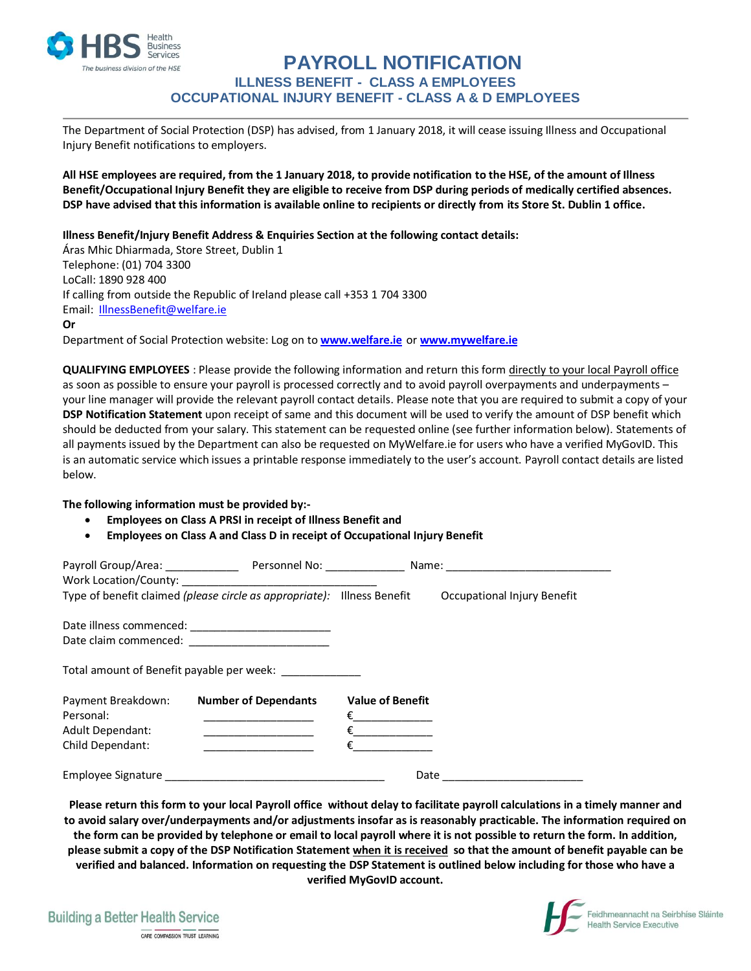

### **PAYROLL NOTIFICATION ILLNESS BENEFIT - CLASS A EMPLOYEES OCCUPATIONAL INJURY BENEFIT - CLASS A & D EMPLOYEES**

The Department of Social Protection (DSP) has advised, from 1 January 2018, it will cease issuing Illness and Occupational Injury Benefit notifications to employers.

**All HSE employees are required, from the 1 January 2018, to provide notification to the HSE, of the amount of Illness Benefit/Occupational Injury Benefit they are eligible to receive from DSP during periods of medically certified absences. DSP have advised that this information is available online to recipients or directly from its Store St. Dublin 1 office.**

**Illness Benefit/Injury Benefit Address & Enquiries Section at the following contact details:**

Áras Mhic Dhiarmada, Store Street, Dublin 1 Telephone: (01) 704 3300 LoCall: 1890 928 400 If calling from outside the Republic of Ireland please call +353 1 704 3300 Email: [IllnessBenefit@welfare.ie](mailto:IllnessBenefit@welfare.ie)

**Or**

Department of Social Protection website: Log on to **[www.welfare.ie](http://www.welfare.ie/)** or **[www.mywelfare.ie](http://www.mywelfare.ie/)**

**QUALIFYING EMPLOYEES** : Please provide the following information and return this form directly to your local Payroll office as soon as possible to ensure your payroll is processed correctly and to avoid payroll overpayments and underpayments – your line manager will provide the relevant payroll contact details. Please note that you are required to submit a copy of your **DSP Notification Statement** upon receipt of same and this document will be used to verify the amount of DSP benefit which should be deducted from your salary. This statement can be requested online (see further information below). Statements of all payments issued by the Department can also be requested on MyWelfare.ie for users who have a verified MyGovID. This is an automatic service which issues a printable response immediately to the user's account. Payroll contact details are listed below.

**The following information must be provided by:-**

- **Employees on Class A PRSI in receipt of Illness Benefit and**
- **Employees on Class A and Class D in receipt of Occupational Injury Benefit**

|                         | Type of benefit claimed (please circle as appropriate): Illness Benefit |                         | Occupational Injury Benefit |
|-------------------------|-------------------------------------------------------------------------|-------------------------|-----------------------------|
|                         |                                                                         |                         |                             |
|                         | Date claim commenced: ___________________________                       |                         |                             |
|                         | Total amount of Benefit payable per week: _____________                 |                         |                             |
| Payment Breakdown:      | <b>Number of Dependants</b>                                             | <b>Value of Benefit</b> |                             |
| Personal:               |                                                                         |                         |                             |
| <b>Adult Dependant:</b> |                                                                         |                         |                             |
| Child Dependant:        |                                                                         |                         |                             |
|                         |                                                                         | Date                    |                             |

**Please return this form to your local Payroll office without delay to facilitate payroll calculations in a timely manner and to avoid salary over/underpayments and/or adjustments insofar as is reasonably practicable. The information required on the form can be provided by telephone or email to local payroll where it is not possible to return the form. In addition, please submit a copy of the DSP Notification Statement when it is received so that the amount of benefit payable can be verified and balanced. Information on requesting the DSP Statement is outlined below including for those who have a verified MyGovID account.**

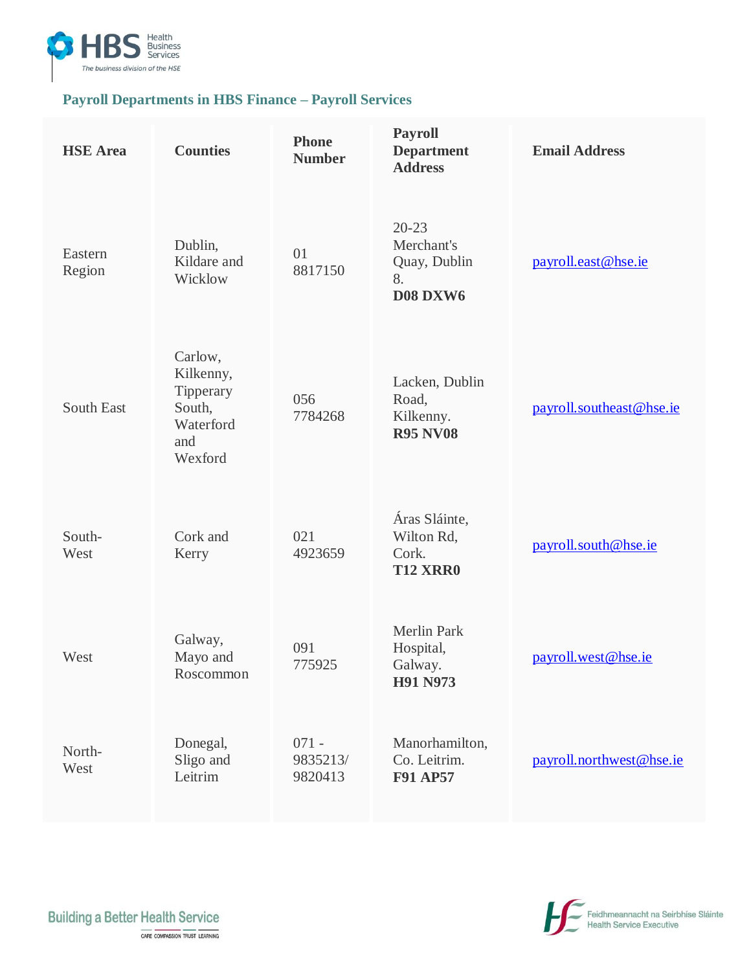

## **Payroll Departments in HBS Finance – Payroll Services**

| <b>HSE</b> Area   | <b>Counties</b>                                                            | <b>Phone</b><br><b>Number</b>  | <b>Payroll</b><br><b>Department</b><br><b>Address</b>            | <b>Email Address</b>     |
|-------------------|----------------------------------------------------------------------------|--------------------------------|------------------------------------------------------------------|--------------------------|
| Eastern<br>Region | Dublin,<br>Kildare and<br>Wicklow                                          | 01<br>8817150                  | $20 - 23$<br>Merchant's<br>Quay, Dublin<br>8.<br><b>D08 DXW6</b> | payroll.east@hse.ie      |
| <b>South East</b> | Carlow,<br>Kilkenny,<br>Tipperary<br>South,<br>Waterford<br>and<br>Wexford | 056<br>7784268                 | Lacken, Dublin<br>Road,<br>Kilkenny.<br><b>R95 NV08</b>          | payroll.southeast@hse.ie |
| South-<br>West    | Cork and<br>Kerry                                                          | 021<br>4923659                 | Áras Sláinte,<br>Wilton Rd,<br>Cork.<br><b>T12 XRR0</b>          | payroll.south@hse.ie     |
| West              | Galway,<br>Mayo and<br>Roscommon                                           | 091<br>775925                  | <b>Merlin Park</b><br>Hospital,<br>Galway.<br><b>H91 N973</b>    | payroll.west@hse.ie      |
| North-<br>West    | Donegal,<br>Sligo and<br>Leitrim                                           | $071 -$<br>9835213/<br>9820413 | Manorhamilton,<br>Co. Leitrim.<br><b>F91 AP57</b>                | payroll.northwest@hse.ie |